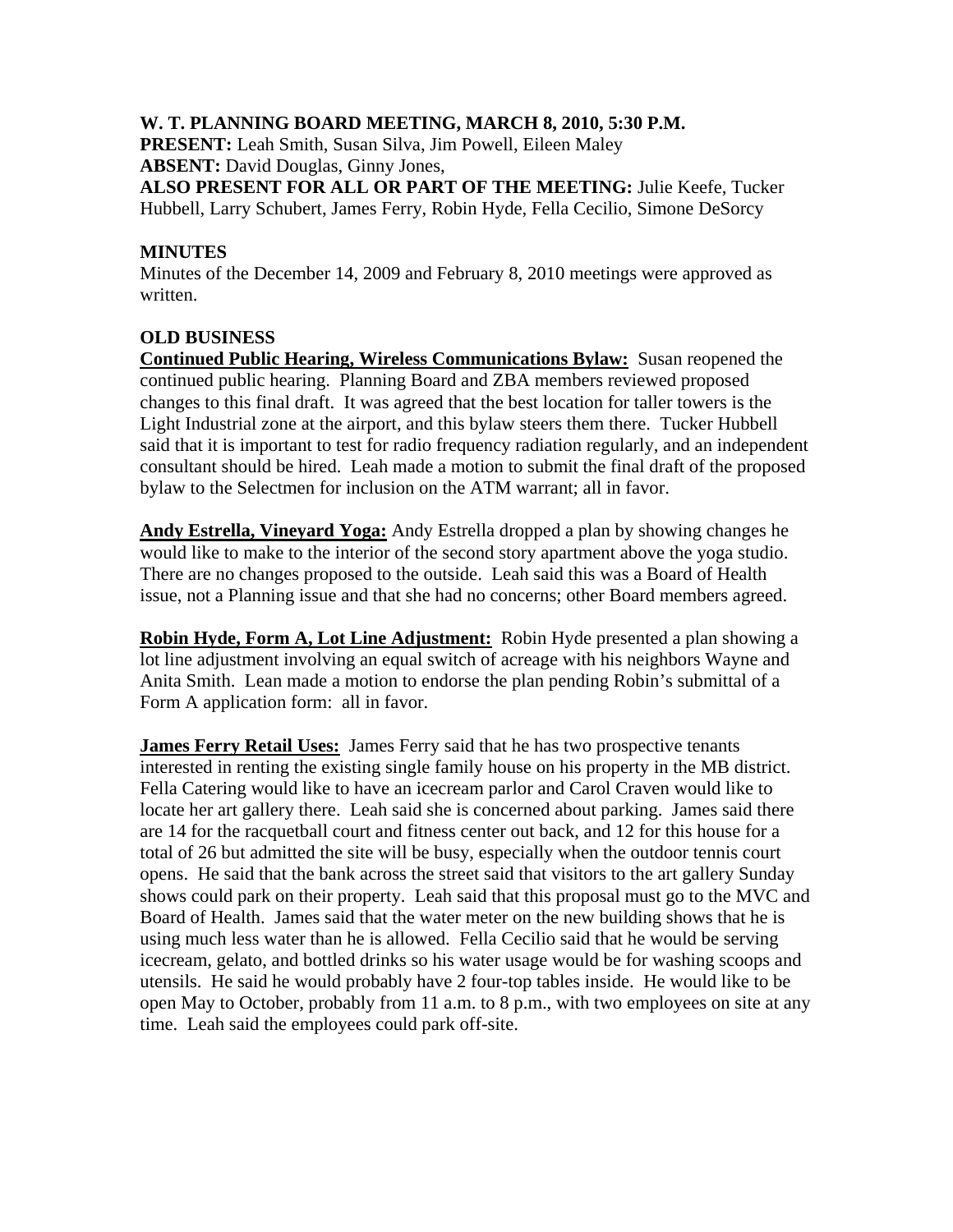## **W. T. PLANNING BOARD MEETING, MARCH 8, 2010, 5:30 P.M.**

**PRESENT:** Leah Smith, Susan Silva, Jim Powell, Eileen Maley **ABSENT:** David Douglas, Ginny Jones,

**ALSO PRESENT FOR ALL OR PART OF THE MEETING:** Julie Keefe, Tucker Hubbell, Larry Schubert, James Ferry, Robin Hyde, Fella Cecilio, Simone DeSorcy

## **MINUTES**

Minutes of the December 14, 2009 and February 8, 2010 meetings were approved as written.

## **OLD BUSINESS**

**Continued Public Hearing, Wireless Communications Bylaw:** Susan reopened the continued public hearing. Planning Board and ZBA members reviewed proposed changes to this final draft. It was agreed that the best location for taller towers is the Light Industrial zone at the airport, and this bylaw steers them there. Tucker Hubbell said that it is important to test for radio frequency radiation regularly, and an independent consultant should be hired. Leah made a motion to submit the final draft of the proposed bylaw to the Selectmen for inclusion on the ATM warrant; all in favor.

**Andy Estrella, Vineyard Yoga:** Andy Estrella dropped a plan by showing changes he would like to make to the interior of the second story apartment above the yoga studio. There are no changes proposed to the outside. Leah said this was a Board of Health issue, not a Planning issue and that she had no concerns; other Board members agreed.

**Robin Hyde, Form A, Lot Line Adjustment:** Robin Hyde presented a plan showing a lot line adjustment involving an equal switch of acreage with his neighbors Wayne and Anita Smith. Lean made a motion to endorse the plan pending Robin's submittal of a Form A application form: all in favor.

**James Ferry Retail Uses:** James Ferry said that he has two prospective tenants interested in renting the existing single family house on his property in the MB district. Fella Catering would like to have an icecream parlor and Carol Craven would like to locate her art gallery there. Leah said she is concerned about parking. James said there are 14 for the racquetball court and fitness center out back, and 12 for this house for a total of 26 but admitted the site will be busy, especially when the outdoor tennis court opens. He said that the bank across the street said that visitors to the art gallery Sunday shows could park on their property. Leah said that this proposal must go to the MVC and Board of Health. James said that the water meter on the new building shows that he is using much less water than he is allowed. Fella Cecilio said that he would be serving icecream, gelato, and bottled drinks so his water usage would be for washing scoops and utensils. He said he would probably have 2 four-top tables inside. He would like to be open May to October, probably from 11 a.m. to 8 p.m., with two employees on site at any time. Leah said the employees could park off-site.